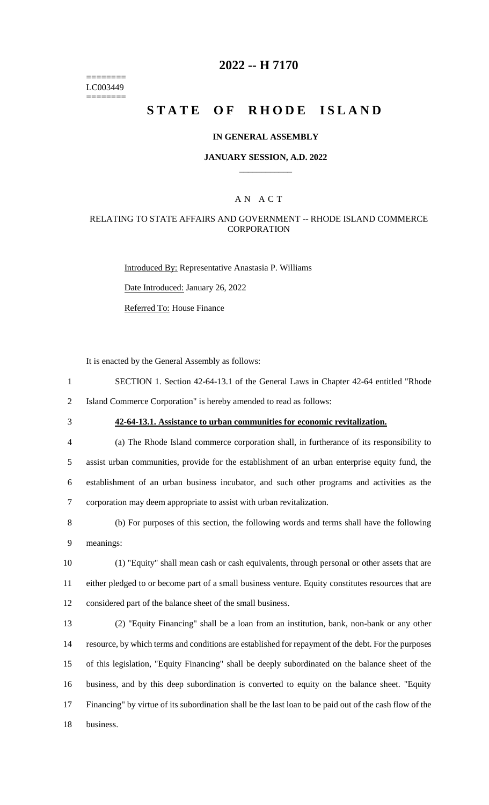======== LC003449 ========

### **2022 -- H 7170**

# **STATE OF RHODE ISLAND**

#### **IN GENERAL ASSEMBLY**

#### **JANUARY SESSION, A.D. 2022 \_\_\_\_\_\_\_\_\_\_\_\_**

### A N A C T

#### RELATING TO STATE AFFAIRS AND GOVERNMENT -- RHODE ISLAND COMMERCE **CORPORATION**

Introduced By: Representative Anastasia P. Williams Date Introduced: January 26, 2022 Referred To: House Finance

It is enacted by the General Assembly as follows:

1 SECTION 1. Section 42-64-13.1 of the General Laws in Chapter 42-64 entitled "Rhode 2 Island Commerce Corporation" is hereby amended to read as follows:

3 **42-64-13.1. Assistance to urban communities for economic revitalization.**

 (a) The Rhode Island commerce corporation shall, in furtherance of its responsibility to assist urban communities, provide for the establishment of an urban enterprise equity fund, the establishment of an urban business incubator, and such other programs and activities as the corporation may deem appropriate to assist with urban revitalization.

8 (b) For purposes of this section, the following words and terms shall have the following 9 meanings:

10 (1) "Equity" shall mean cash or cash equivalents, through personal or other assets that are 11 either pledged to or become part of a small business venture. Equity constitutes resources that are 12 considered part of the balance sheet of the small business.

 (2) "Equity Financing" shall be a loan from an institution, bank, non-bank or any other resource, by which terms and conditions are established for repayment of the debt. For the purposes of this legislation, "Equity Financing" shall be deeply subordinated on the balance sheet of the business, and by this deep subordination is converted to equity on the balance sheet. "Equity Financing" by virtue of its subordination shall be the last loan to be paid out of the cash flow of the 18 business.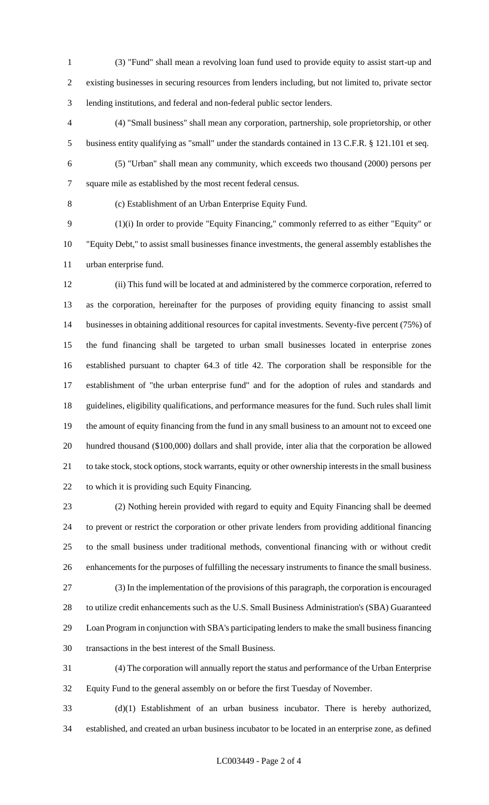(3) "Fund" shall mean a revolving loan fund used to provide equity to assist start-up and existing businesses in securing resources from lenders including, but not limited to, private sector lending institutions, and federal and non-federal public sector lenders.

 (4) "Small business" shall mean any corporation, partnership, sole proprietorship, or other business entity qualifying as "small" under the standards contained in 13 C.F.R. § 121.101 et seq.

(5) "Urban" shall mean any community, which exceeds two thousand (2000) persons per

square mile as established by the most recent federal census.

(c) Establishment of an Urban Enterprise Equity Fund.

 (1)(i) In order to provide "Equity Financing," commonly referred to as either "Equity" or "Equity Debt," to assist small businesses finance investments, the general assembly establishes the urban enterprise fund.

 (ii) This fund will be located at and administered by the commerce corporation, referred to as the corporation, hereinafter for the purposes of providing equity financing to assist small businesses in obtaining additional resources for capital investments. Seventy-five percent (75%) of the fund financing shall be targeted to urban small businesses located in enterprise zones established pursuant to chapter 64.3 of title 42. The corporation shall be responsible for the establishment of "the urban enterprise fund" and for the adoption of rules and standards and guidelines, eligibility qualifications, and performance measures for the fund. Such rules shall limit the amount of equity financing from the fund in any small business to an amount not to exceed one hundred thousand (\$100,000) dollars and shall provide, inter alia that the corporation be allowed to take stock, stock options, stock warrants, equity or other ownership interests in the small business to which it is providing such Equity Financing.

 (2) Nothing herein provided with regard to equity and Equity Financing shall be deemed to prevent or restrict the corporation or other private lenders from providing additional financing to the small business under traditional methods, conventional financing with or without credit enhancements for the purposes of fulfilling the necessary instruments to finance the small business. (3) In the implementation of the provisions of this paragraph, the corporation is encouraged to utilize credit enhancements such as the U.S. Small Business Administration's (SBA) Guaranteed Loan Program in conjunction with SBA's participating lenders to make the small business financing transactions in the best interest of the Small Business.

 (4) The corporation will annually report the status and performance of the Urban Enterprise Equity Fund to the general assembly on or before the first Tuesday of November.

 (d)(1) Establishment of an urban business incubator. There is hereby authorized, established, and created an urban business incubator to be located in an enterprise zone, as defined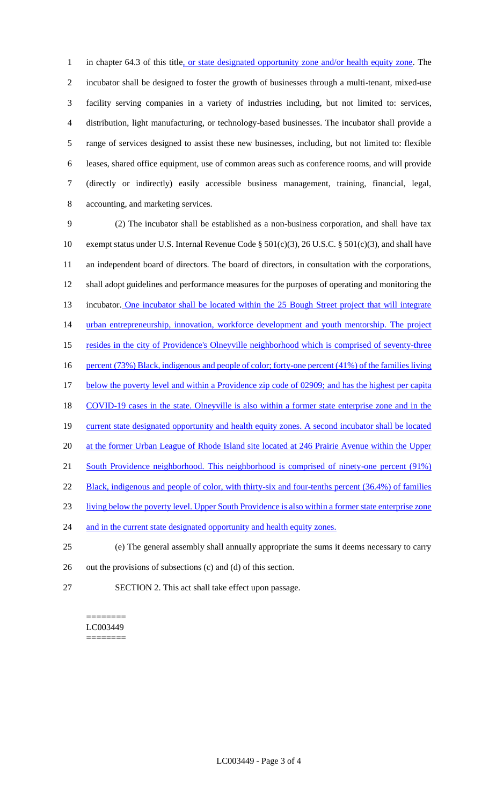1 in chapter 64.3 of this title, or state designated opportunity zone and/or health equity zone. The incubator shall be designed to foster the growth of businesses through a multi-tenant, mixed-use facility serving companies in a variety of industries including, but not limited to: services, distribution, light manufacturing, or technology-based businesses. The incubator shall provide a range of services designed to assist these new businesses, including, but not limited to: flexible leases, shared office equipment, use of common areas such as conference rooms, and will provide (directly or indirectly) easily accessible business management, training, financial, legal, accounting, and marketing services.

9 (2) The incubator shall be established as a non-business corporation, and shall have tax 10 exempt status under U.S. Internal Revenue Code § 501(c)(3), 26 U.S.C. § 501(c)(3), and shall have 11 an independent board of directors. The board of directors, in consultation with the corporations, 12 shall adopt guidelines and performance measures for the purposes of operating and monitoring the 13 incubator. One incubator shall be located within the 25 Bough Street project that will integrate 14 urban entrepreneurship, innovation, workforce development and youth mentorship. The project 15 resides in the city of Providence's Olneyville neighborhood which is comprised of seventy-three 16 percent (73%) Black, indigenous and people of color; forty-one percent (41%) of the families living 17 below the poverty level and within a Providence zip code of 02909; and has the highest per capita 18 COVID-19 cases in the state. Olneyville is also within a former state enterprise zone and in the 19 current state designated opportunity and health equity zones. A second incubator shall be located 20 at the former Urban League of Rhode Island site located at 246 Prairie Avenue within the Upper 21 South Providence neighborhood. This neighborhood is comprised of ninety-one percent (91%) 22 Black, indigenous and people of color, with thirty-six and four-tenths percent (36.4%) of families 23 living below the poverty level. Upper South Providence is also within a former state enterprise zone 24 and in the current state designated opportunity and health equity zones. 25 (e) The general assembly shall annually appropriate the sums it deems necessary to carry 26 out the provisions of subsections (c) and (d) of this section.

27 SECTION 2. This act shall take effect upon passage.

======== LC003449 ========